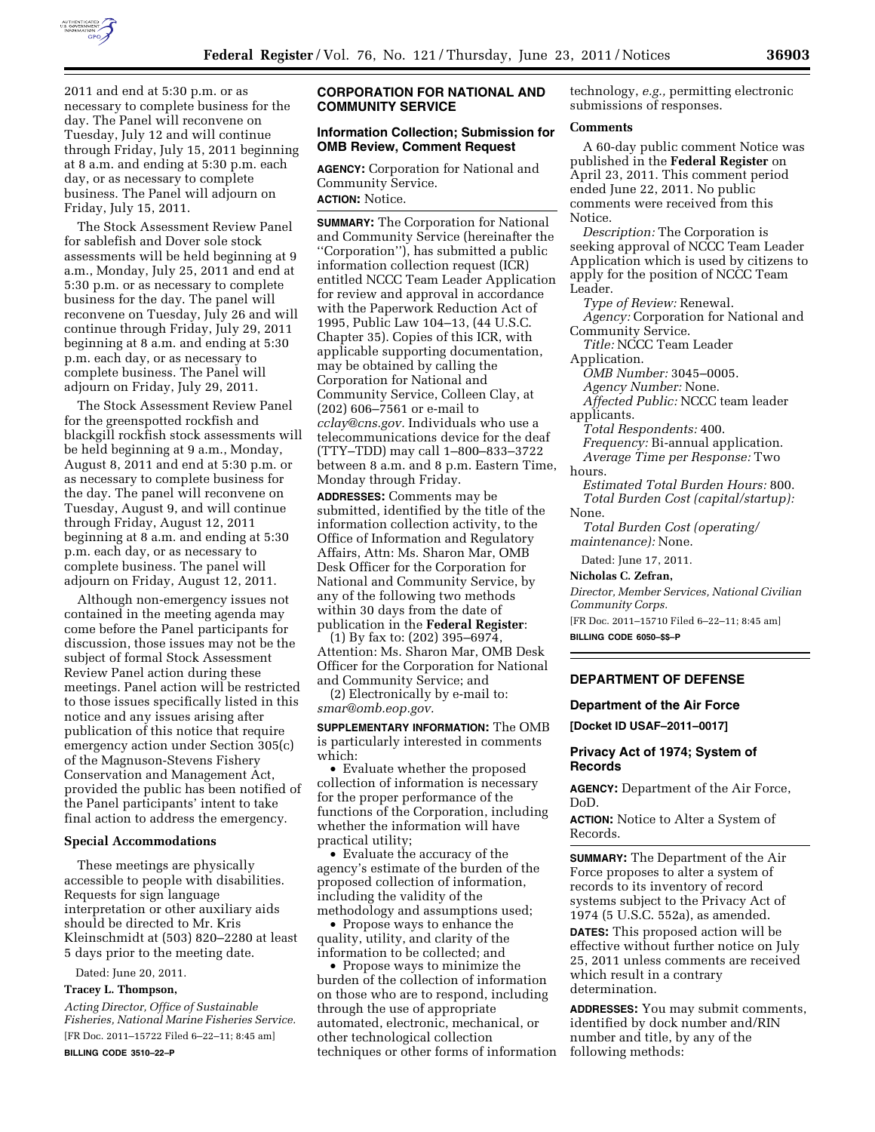

2011 and end at 5:30 p.m. or as necessary to complete business for the day. The Panel will reconvene on Tuesday, July 12 and will continue through Friday, July 15, 2011 beginning at 8 a.m. and ending at 5:30 p.m. each day, or as necessary to complete business. The Panel will adjourn on Friday, July 15, 2011.

The Stock Assessment Review Panel for sablefish and Dover sole stock assessments will be held beginning at 9 a.m., Monday, July 25, 2011 and end at 5:30 p.m. or as necessary to complete business for the day. The panel will reconvene on Tuesday, July 26 and will continue through Friday, July 29, 2011 beginning at 8 a.m. and ending at 5:30 p.m. each day, or as necessary to complete business. The Panel will adjourn on Friday, July 29, 2011.

The Stock Assessment Review Panel for the greenspotted rockfish and blackgill rockfish stock assessments will be held beginning at 9 a.m., Monday, August 8, 2011 and end at 5:30 p.m. or as necessary to complete business for the day. The panel will reconvene on Tuesday, August 9, and will continue through Friday, August 12, 2011 beginning at 8 a.m. and ending at 5:30 p.m. each day, or as necessary to complete business. The panel will adjourn on Friday, August 12, 2011.

Although non-emergency issues not contained in the meeting agenda may come before the Panel participants for discussion, those issues may not be the subject of formal Stock Assessment Review Panel action during these meetings. Panel action will be restricted to those issues specifically listed in this notice and any issues arising after publication of this notice that require emergency action under Section 305(c) of the Magnuson-Stevens Fishery Conservation and Management Act, provided the public has been notified of the Panel participants' intent to take final action to address the emergency.

#### **Special Accommodations**

These meetings are physically accessible to people with disabilities. Requests for sign language interpretation or other auxiliary aids should be directed to Mr. Kris Kleinschmidt at (503) 820–2280 at least 5 days prior to the meeting date.

Dated: June 20, 2011.

# **Tracey L. Thompson,**

*Acting Director, Office of Sustainable Fisheries, National Marine Fisheries Service.*  [FR Doc. 2011–15722 Filed 6–22–11; 8:45 am] **BILLING CODE 3510–22–P** 

# **CORPORATION FOR NATIONAL AND COMMUNITY SERVICE**

# **Information Collection; Submission for OMB Review, Comment Request**

**AGENCY:** Corporation for National and Community Service. **ACTION:** Notice.

**SUMMARY:** The Corporation for National and Community Service (hereinafter the ''Corporation''), has submitted a public information collection request (ICR) entitled NCCC Team Leader Application for review and approval in accordance with the Paperwork Reduction Act of 1995, Public Law 104–13, (44 U.S.C. Chapter 35). Copies of this ICR, with applicable supporting documentation, may be obtained by calling the Corporation for National and Community Service, Colleen Clay, at (202) 606–7561 or e-mail to *[cclay@cns.gov.](mailto:cclay@cns.gov)* Individuals who use a telecommunications device for the deaf (TTY–TDD) may call 1–800–833–3722 between 8 a.m. and 8 p.m. Eastern Time, Monday through Friday. **ADDRESSES:** Comments may be submitted, identified by the title of the information collection activity, to the Office of Information and Regulatory Affairs, Attn: Ms. Sharon Mar, OMB Desk Officer for the Corporation for

any of the following two methods within 30 days from the date of publication in the **Federal Register**: (1) By fax to: (202) 395–6974,

National and Community Service, by

Attention: Ms. Sharon Mar, OMB Desk Officer for the Corporation for National and Community Service; and

(2) Electronically by e-mail to: *[smar@omb.eop.gov.](mailto:smar@omb.eop.gov)* 

**SUPPLEMENTARY INFORMATION:** The OMB is particularly interested in comments which:

• Evaluate whether the proposed collection of information is necessary for the proper performance of the functions of the Corporation, including whether the information will have practical utility;

• Evaluate the accuracy of the agency's estimate of the burden of the proposed collection of information, including the validity of the methodology and assumptions used;

• Propose ways to enhance the quality, utility, and clarity of the information to be collected; and

• Propose ways to minimize the burden of the collection of information on those who are to respond, including through the use of appropriate automated, electronic, mechanical, or other technological collection techniques or other forms of information technology, *e.g.,* permitting electronic submissions of responses.

## **Comments**

A 60-day public comment Notice was published in the **Federal Register** on April 23, 2011. This comment period ended June 22, 2011. No public comments were received from this Notice.

*Description:* The Corporation is seeking approval of NCCC Team Leader Application which is used by citizens to apply for the position of NCCC Team Leader.

*Type of Review:* Renewal. *Agency:* Corporation for National and Community Service.

*Title:* NCCC Team Leader

Application.

*OMB Number:* 3045–0005.

*Agency Number:* None.

*Affected Public:* NCCC team leader applicants.

*Total Respondents:* 400. *Frequency:* Bi-annual application. *Average Time per Response:* Two

hours.

*Estimated Total Burden Hours:* 800. *Total Burden Cost (capital/startup):*  None.

*Total Burden Cost (operating/ maintenance):* None.

Dated: June 17, 2011.

**Nicholas C. Zefran,** 

*Director, Member Services, National Civilian Community Corps.* 

[FR Doc. 2011–15710 Filed 6–22–11; 8:45 am] **BILLING CODE 6050–\$\$–P** 

# **DEPARTMENT OF DEFENSE**

**Department of the Air Force** 

**[Docket ID USAF–2011–0017]** 

# **Privacy Act of 1974; System of Records**

**AGENCY:** Department of the Air Force, DoD.

**ACTION:** Notice to Alter a System of Records.

**SUMMARY:** The Department of the Air Force proposes to alter a system of records to its inventory of record systems subject to the Privacy Act of 1974 (5 U.S.C. 552a), as amended.

**DATES:** This proposed action will be effective without further notice on July 25, 2011 unless comments are received which result in a contrary determination.

**ADDRESSES:** You may submit comments, identified by dock number and/RIN number and title, by any of the following methods: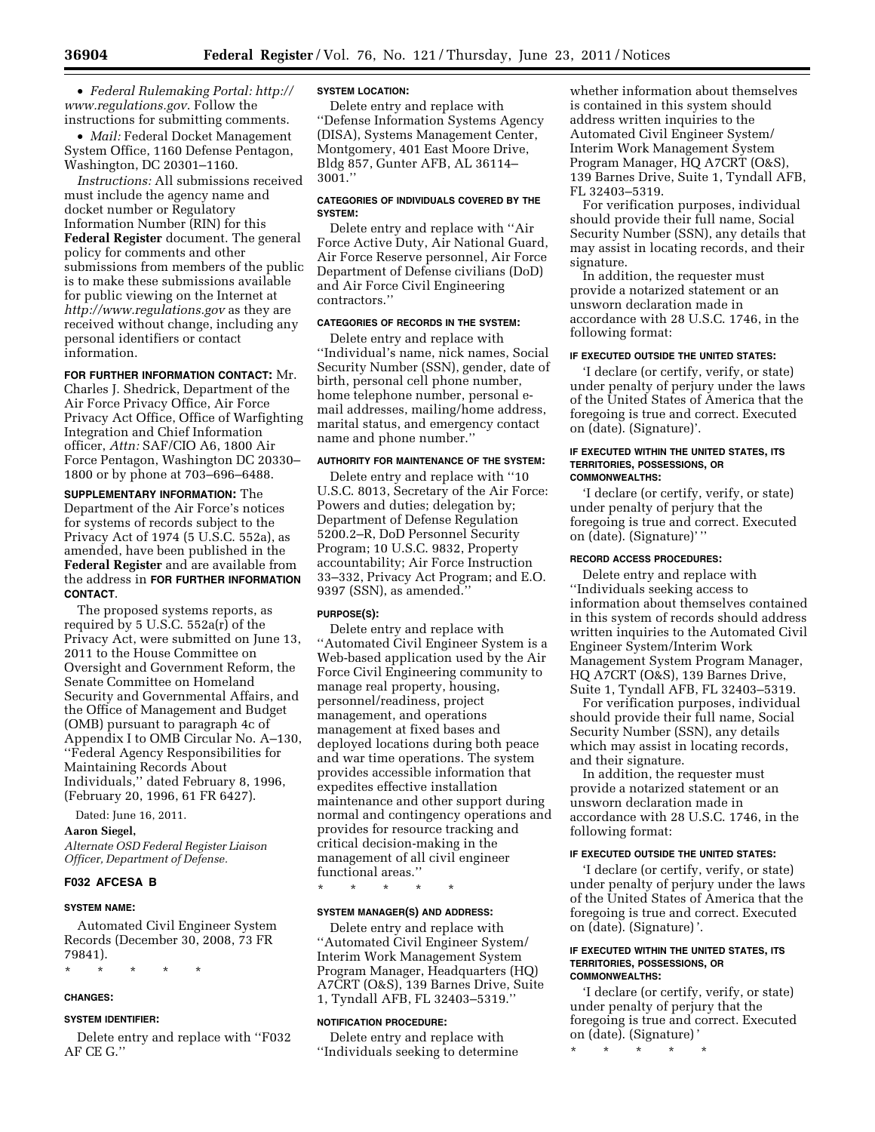• *Federal Rulemaking Portal: [http://](http://www.regulations.gov) [www.regulations.gov](http://www.regulations.gov)*. Follow the instructions for submitting comments.

• *Mail:* Federal Docket Management System Office, 1160 Defense Pentagon, Washington, DC 20301–1160.

*Instructions:* All submissions received must include the agency name and docket number or Regulatory Information Number (RIN) for this **Federal Register** document. The general policy for comments and other submissions from members of the public is to make these submissions available for public viewing on the Internet at *<http://www.regulations.gov>* as they are received without change, including any personal identifiers or contact information.

# **FOR FURTHER INFORMATION CONTACT:** Mr.

Charles J. Shedrick, Department of the Air Force Privacy Office, Air Force Privacy Act Office, Office of Warfighting Integration and Chief Information officer, *Attn:* SAF/CIO A6, 1800 Air Force Pentagon, Washington DC 20330– 1800 or by phone at 703–696–6488.

**SUPPLEMENTARY INFORMATION:** The Department of the Air Force's notices for systems of records subject to the Privacy Act of 1974 (5 U.S.C. 552a), as amended, have been published in the **Federal Register** and are available from the address in **FOR FURTHER INFORMATION CONTACT**.

The proposed systems reports, as required by 5 U.S.C. 552a(r) of the Privacy Act, were submitted on June 13, 2011 to the House Committee on Oversight and Government Reform, the Senate Committee on Homeland Security and Governmental Affairs, and the Office of Management and Budget (OMB) pursuant to paragraph 4c of Appendix I to OMB Circular No. A–130, ''Federal Agency Responsibilities for Maintaining Records About Individuals,'' dated February 8, 1996, (February 20, 1996, 61 FR 6427).

Dated: June 16, 2011.

**Aaron Siegel,** 

*Alternate OSD Federal Register Liaison Officer, Department of Defense.* 

# **F032 AFCESA B**

#### **SYSTEM NAME:**

Automated Civil Engineer System Records (December 30, 2008, 73 FR 79841).

\* \* \* \* \*

#### **CHANGES:**

# **SYSTEM IDENTIFIER:**

Delete entry and replace with ''F032 AF CE G.''

#### **SYSTEM LOCATION:**

Delete entry and replace with ''Defense Information Systems Agency (DISA), Systems Management Center, Montgomery, 401 East Moore Drive, Bldg 857, Gunter AFB, AL 36114– 3001.''

# **CATEGORIES OF INDIVIDUALS COVERED BY THE SYSTEM:**

Delete entry and replace with ''Air Force Active Duty, Air National Guard, Air Force Reserve personnel, Air Force Department of Defense civilians (DoD) and Air Force Civil Engineering contractors.''

#### **CATEGORIES OF RECORDS IN THE SYSTEM:**

Delete entry and replace with ''Individual's name, nick names, Social Security Number (SSN), gender, date of birth, personal cell phone number, home telephone number, personal email addresses, mailing/home address, marital status, and emergency contact name and phone number.''

# **AUTHORITY FOR MAINTENANCE OF THE SYSTEM:**

Delete entry and replace with ''10 U.S.C. 8013, Secretary of the Air Force: Powers and duties; delegation by; Department of Defense Regulation 5200.2–R, DoD Personnel Security Program; 10 U.S.C. 9832, Property accountability; Air Force Instruction 33–332, Privacy Act Program; and E.O. 9397 (SSN), as amended.''

### **PURPOSE(S):**

Delete entry and replace with ''Automated Civil Engineer System is a Web-based application used by the Air Force Civil Engineering community to manage real property, housing, personnel/readiness, project management, and operations management at fixed bases and deployed locations during both peace and war time operations. The system provides accessible information that expedites effective installation maintenance and other support during normal and contingency operations and provides for resource tracking and critical decision-making in the management of all civil engineer functional areas.''

\* \* \* \* \*

#### **SYSTEM MANAGER(S) AND ADDRESS:**

Delete entry and replace with ''Automated Civil Engineer System/ Interim Work Management System Program Manager, Headquarters (HQ) A7CRT (O&S), 139 Barnes Drive, Suite 1, Tyndall AFB, FL 32403–5319.''

### **NOTIFICATION PROCEDURE:**

Delete entry and replace with ''Individuals seeking to determine

whether information about themselves is contained in this system should address written inquiries to the Automated Civil Engineer System/ Interim Work Management System Program Manager, HQ A7CRT (O&S), 139 Barnes Drive, Suite 1, Tyndall AFB, FL 32403–5319.

For verification purposes, individual should provide their full name, Social Security Number (SSN), any details that may assist in locating records, and their signature.

In addition, the requester must provide a notarized statement or an unsworn declaration made in accordance with 28 U.S.C. 1746, in the following format:

# **IF EXECUTED OUTSIDE THE UNITED STATES:**

'I declare (or certify, verify, or state) under penalty of perjury under the laws of the United States of America that the foregoing is true and correct. Executed on (date). (Signature)'.

#### **IF EXECUTED WITHIN THE UNITED STATES, ITS TERRITORIES, POSSESSIONS, OR COMMONWEALTHS:**

'I declare (or certify, verify, or state) under penalty of perjury that the foregoing is true and correct. Executed on (date). (Signature)' ''

# **RECORD ACCESS PROCEDURES:**

Delete entry and replace with ''Individuals seeking access to information about themselves contained in this system of records should address written inquiries to the Automated Civil Engineer System/Interim Work Management System Program Manager, HQ A7CRT (O&S), 139 Barnes Drive, Suite 1, Tyndall AFB, FL 32403–5319.

For verification purposes, individual should provide their full name, Social Security Number (SSN), any details which may assist in locating records, and their signature.

In addition, the requester must provide a notarized statement or an unsworn declaration made in accordance with 28 U.S.C. 1746, in the following format:

## **IF EXECUTED OUTSIDE THE UNITED STATES:**

'I declare (or certify, verify, or state) under penalty of perjury under the laws of the United States of America that the foregoing is true and correct. Executed on (date). (Signature) '.

## **IF EXECUTED WITHIN THE UNITED STATES, ITS TERRITORIES, POSSESSIONS, OR COMMONWEALTHS:**

'I declare (or certify, verify, or state) under penalty of perjury that the foregoing is true and correct. Executed on (date). (Signature) '

\* \* \* \* \*